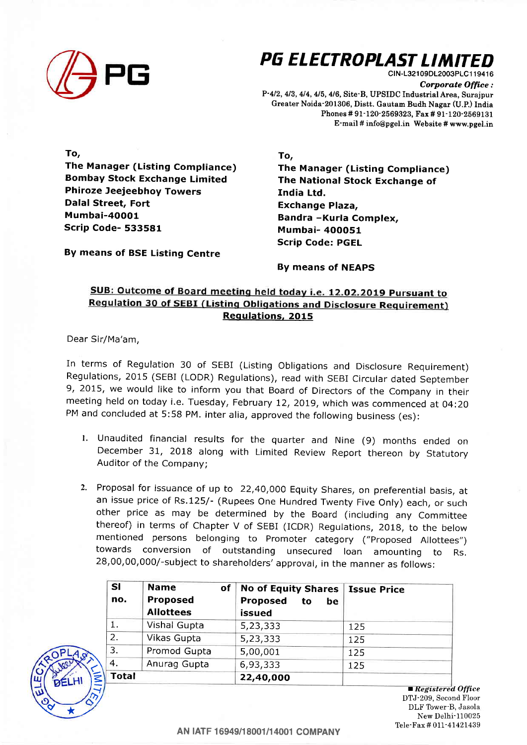

## PG ELECTROPLAST LIMITED ctN-1321 09DL2003PLC1 1 941 6

Corporate Office: P-412, 413, 414, 415, 4/6, Site-B, UPSIDC Industrial Area, Surajpur Greater Noida-201306, Distt. Gautam Budh Nagar (U.P.) India Phones # 91-120-2569323, Fax # 91-120-2569131 E-mail # info@pgel.in Website # www.pgel.in

To,

The Manager (Listing Compliance) Bombay Stock Exchange Limited Phiroze Jeejeebhoy Towers Dalal Street, Fort Mumbai-4OOO1 Scrip Code- 533581

To,

The Manager (Listing Compliance) The National Stock Exchange of India Ltd. Exchange Plaza, Bandra -Kurla Complex, Mumbai- 4OOO51 Scrip Code: PGEL

By means of BSE Listing Centre

By means of NEAPS

## SUB: Outcome of Board meeting held today i.e. 12.02.2019 Pursuant to **Regulation 30 of SEBI (Listing Obligations and Disclosure Requirement)** Regulations, 2015

Dear Sir/Ma'am,

 $\leq$ t=

 $\mathcal{V}$ 

In terms of Regulation 30 of SEBI (Listing Obligations and Disclosure Requirement) Regulations, 2015 (SEBI (LODR) Regulations), read with SEBI Circular dated September 9,2075, we would like to inform you that Board of Directors of the Company in their meeting held on today i.e. Tuesday, February 12, 2019, which was commenced at O4:2O PM and concluded at 5:58 pM. inter alia, approved the following business (es):

- 1. Unaudited financial results for the quarter and Nine (9) months ended on December 31, 201B along with Limited Review Report thereon by Statutory Auditor of the Company;
- 2. Proposal for issuance of up to 22,4O,OOO Equity Shares, on preferential basis, at an issue price of Rs.125/- (Rupees One Hundred Twenty Five Only) each, or such other price as may be determined by the Board (including any Committee thereof) in terms of Chapter V of SEBI (ICDR) Regulations, 2018, to the below mentioned persons belonging to Promoter category ("Proposed Allottees") towards conversion of outstanding unsecured loan amounting to Rs. 28,00,00,000/-subject to shareholders'approval, in the manner as follows:

| <b>SI</b><br>no. | <b>Name</b><br>of<br><b>Proposed</b><br><b>Allottees</b> | No of Equity Shares   Issue Price<br>Proposed<br>to<br>be<br>issued |     |
|------------------|----------------------------------------------------------|---------------------------------------------------------------------|-----|
| 1.               | <b>Vishal Gupta</b>                                      | 5,23,333                                                            | 125 |
| 2.               | Vikas Gupta                                              | 5,23,333                                                            | 125 |
| 3.               | Promod Gupta                                             | 5,00,001                                                            | 125 |
| 4.               | Anurag Gupta                                             | 6,93,333                                                            | 125 |
| <b>Total</b>     |                                                          | 22,40,000                                                           |     |

 $\blacksquare$  Registered Office DTJ-209, Second Floor DLF Tower B, Jasola New Delhi-110025 Tele-Fax # 011-41421439  $\frac{D_{\mathcal{O}}}{\mathcal{A}}$  DTJ-209, Secon DLF Tower-B

AN |ATF 16949/18001/14001 COMPANY